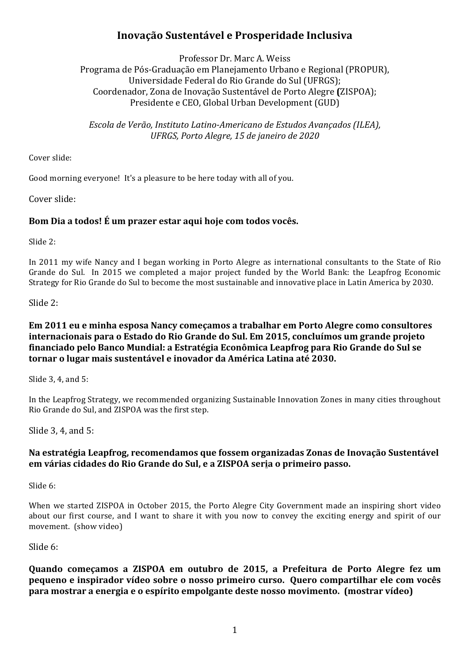# **Inovação Sustentável e Prosperidade Inclusiva**

Professor Dr. Marc A. Weiss Programa de Pós-Graduação em Planejamento Urbano e Regional (PROPUR), Universidade Federal do Rio Grande do Sul (UFRGS); Coordenador, Zona de Inovação Sustentável de Porto Alegre **(**ZISPOA); Presidente e CEO, Global Urban Development (GUD)

*Escola de Verão, Instituto Latino-Americano de Estudos Avançados (ILEA), UFRGS, Porto Alegre, 15 de janeiro de 2020*

Cover slide:

Good morning everyone! It's a pleasure to be here today with all of you.

Cover slide:

# Bom Dia a todos! É um prazer estar aqui hoje com todos vocês.

Slide 2:

In 2011 my wife Nancy and I began working in Porto Alegre as international consultants to the State of Rio Grande do Sul. In 2015 we completed a major project funded by the World Bank: the Leapfrog Economic Strategy for Rio Grande do Sul to become the most sustainable and innovative place in Latin America by 2030.

Slide  $2$ :

# **Em 2011 eu e minha esposa Nancy começamos a trabalhar em Porto Alegre como consultores** internacionais para o Estado do Rio Grande do Sul. Em 2015, concluímos um grande projeto financiado pelo Banco Mundial: a Estratégia Econômica Leapfrog para Rio Grande do Sul se **tornar** o lugar mais sustentável e inovador da América Latina até 2030.

Slide 3, 4, and 5:

In the Leapfrog Strategy, we recommended organizing Sustainable Innovation Zones in many cities throughout Rio Grande do Sul, and ZISPOA was the first step.

Slide  $3, 4$ , and  $5$ :

# **Na estratégia Leapfrog, recomendamos que fossem organizadas Zonas de Inovação Sustentável em várias cidades do Rio Grande do Sul, e a ZISPOA seria o primeiro passo.**

Slide 6:

When we started ZISPOA in October 2015, the Porto Alegre City Government made an inspiring short video about our first course, and I want to share it with you now to convey the exciting energy and spirit of our movement. (show video)

Slide 6:

Quando começamos a ZISPOA em outubro de 2015, a Prefeitura de Porto Alegre fez um pequeno e inspirador vídeo sobre o nosso primeiro curso. Quero compartilhar ele com vocês **para mostrar a energia e o espírito empolgante deste nosso movimento. (mostrar vídeo)**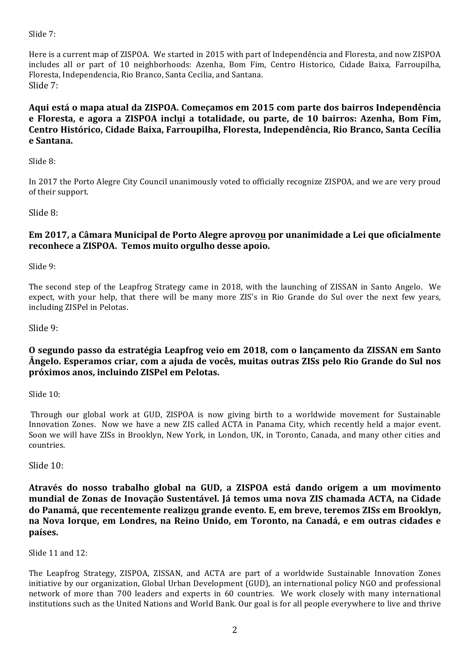Slide  $7$ :

Here is a current map of ZISPOA. We started in 2015 with part of Independência and Floresta, and now ZISPOA includes all or part of 10 neighborhoods: Azenha, Bom Fim, Centro Historico, Cidade Baixa, Farroupilha, Floresta, Independencia, Rio Branco, Santa Cecilia, and Santana. Slide 7:

**Aqui está o mapa atual da ZISPOA. Começamos em 2015 com parte dos bairros Independência e Floresta, e agora a ZISPOA inclui a totalidade, ou parte, de 10 bairros: Azenha, Bom Fim,**  Centro Histórico, Cidade Baixa, Farroupilha, Floresta, Independência, Rio Branco, Santa Cecília **e Santana.**

Slide 8:

In 2017 the Porto Alegre City Council unanimously voted to officially recognize ZISPOA, and we are very proud of their support.

Slide 8:

### **Em 2017, a Câmara Municipal de Porto Alegre aprovou por unanimidade a Lei que oficialmente reconhece a ZISPOA. Temos muito orgulho desse apoio.**

Slide 9:

The second step of the Leapfrog Strategy came in 2018, with the launching of ZISSAN in Santo Angelo. We expect, with your help, that there will be many more ZIS's in Rio Grande do Sul over the next few years, including ZISPel in Pelotas.

Slide 9:

# **O** segundo passo da estratégia Leapfrog veio em 2018, com o lançamento da ZISSAN em Santo **Ângelo.** Esperamos criar, com a ajuda de vocês, muitas outras ZISs pelo Rio Grande do Sul nos **próximos anos, incluindo ZISPel em Pelotas.**

Slide  $10$ :

Through our global work at GUD, ZISPOA is now giving birth to a worldwide movement for Sustainable Innovation Zones. Now we have a new ZIS called ACTA in Panama City, which recently held a major event. Soon we will have ZISs in Brooklyn, New York, in London, UK, in Toronto, Canada, and many other cities and countries. 

Slide 10:

Através do nosso trabalho global na GUD, a ZISPOA está dando origem a um movimento **mundial de Zonas de Inovação Sustentável. Já temos uma nova ZIS chamada ACTA, na Cidade do Panamá, que recentemente realizou grande evento.** E, em breve, teremos ZISs em Brooklyn, na Nova Iorque, em Londres, na Reino Unido, em Toronto, na Canadá, e em outras cidades e **países.**

Slide 11 and 12:

The Leapfrog Strategy, ZISPOA, ZISSAN, and ACTA are part of a worldwide Sustainable Innovation Zones initiative by our organization, Global Urban Development (GUD), an international policy NGO and professional network of more than 700 leaders and experts in 60 countries. We work closely with many international institutions such as the United Nations and World Bank. Our goal is for all people everywhere to live and thrive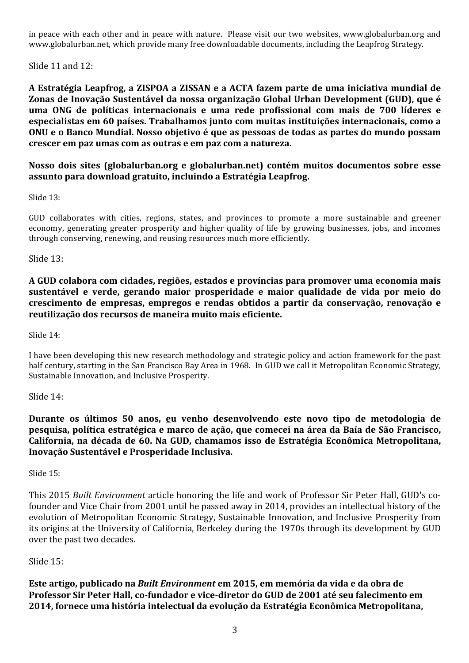in peace with each other and in peace with nature. Please visit our two websites, www.globalurban.org and www.globalurban.net, which provide many free downloadable documents, including the Leapfrog Strategy.

Slide  $11$  and  $12$ :

A Estratégia Leapfrog, a ZISPOA a ZISSAN e a ACTA fazem parte de uma iniciativa mundial de Zonas de Inovação Sustentável da nossa organização Global Urban Development (GUD), que é **uma ONG de políticas internacionais e uma rede profissional com mais de 700 líderes e**  especialistas em 60 países. Trabalhamos junto com muitas instituições internacionais, como a **ONU** e o Banco Mundial. Nosso objetivo é que as pessoas de todas as partes do mundo possam **crescer em paz umas com as outras e em paz com a natureza.** 

# **Nosso dois sites (globalurban.org e globalurban.net) contém muitos documentos sobre esse assunto para download gratuito, incluindo a Estratégia Leapfrog.**

Slide  $13$ :

GUD collaborates with cities, regions, states, and provinces to promote a more sustainable and greener economy, generating greater prosperity and higher quality of life by growing businesses, jobs, and incomes through conserving, renewing, and reusing resources much more efficiently.

Slide 13:

A GUD colabora com cidades, regiões, estados e províncias para promover uma economia mais sustentável e verde, gerando maior prosperidade e maior qualidade de vida por meio do **crescimento de empresas, empregos e rendas obtidos a partir da conservação, renovação e reutilização dos recursos de maneira muito mais eficiente.**

Slide 14:

I have been developing this new research methodology and strategic policy and action framework for the past half century, starting in the San Francisco Bay Area in 1968. In GUD we call it Metropolitan Economic Strategy, Sustainable Innovation, and Inclusive Prosperity.

Slide 14:

**Durante os últimos 50 anos, eu venho desenvolvendo este novo tipo de metodologia de pesquisa, política estratégica e marco de ação, que comecei na área da Baía de São Francisco,**  California, na década de 60. Na GUD, chamamos isso de Estratégia Econômica Metropolitana, **Inovação Sustentável e Prosperidade Inclusiva.**

Slide  $15$ :

This 2015 *Built Environment* article honoring the life and work of Professor Sir Peter Hall, GUD's cofounder and Vice Chair from 2001 until he passed away in 2014, provides an intellectual history of the evolution of Metropolitan Economic Strategy, Sustainable Innovation, and Inclusive Prosperity from its origins at the University of California, Berkeley during the 1970s through its development by GUD over the past two decades.

# Slide 15:

**Este artigo, publicado na** *Built Environment* **<b>em 2015, em memória da vida e da obra de** Professor Sir Peter Hall, co-fundador e vice-diretor do GUD de 2001 até seu falecimento em **2014, fornece uma história intelectual da evolução da Estratégia Econômica Metropolitana,**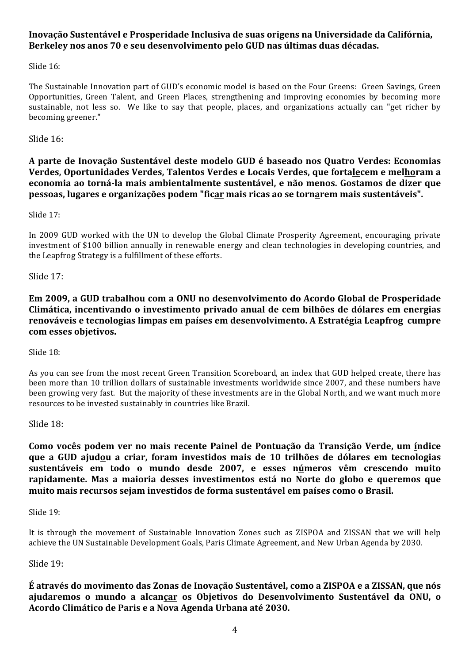# Inovação Sustentável e Prosperidade Inclusiva de suas origens na Universidade da Califórnia, **Berkeley nos anos 70 e seu desenvolvimento pelo GUD nas últimas duas décadas.**

Slide  $16$ :

The Sustainable Innovation part of GUD's economic model is based on the Four Greens: Green Savings, Green Opportunities, Green Talent, and Green Places, strengthening and improving economies by becoming more sustainable, not less so. We like to say that people, places, and organizations actually can "get richer by becoming greener."

Slide  $16$ :

**A parte de Inovação Sustentável deste modelo GUD é baseado nos Quatro Verdes: Economias Verdes, Oportunidades Verdes, Talentos Verdes e Locais Verdes, que fortalecem e melhoram a economia** ao torná-la mais ambientalmente sustentável, e não menos. Gostamos de dizer que **pessoas, lugares e organizações podem "ficar mais ricas ao se tornarem mais sustentáveis".**

Slide 17:

In 2009 GUD worked with the UN to develop the Global Climate Prosperity Agreement, encouraging private investment of \$100 billion annually in renewable energy and clean technologies in developing countries, and the Leapfrog Strategy is a fulfillment of these efforts.

Slide 17:

**Em 2009, a GUD trabalhou com a ONU no desenvolvimento do Acordo Global de Prosperidade Climática, incentivando o investimento privado anual de cem bilhões de dólares em energias** renováveis e tecnologias limpas em países em desenvolvimento. A Estratégia Leapfrog cumpre **com esses objetivos.**

Slide 18:

As you can see from the most recent Green Transition Scoreboard, an index that GUD helped create, there has been more than 10 trillion dollars of sustainable investments worldwide since 2007, and these numbers have been growing very fast. But the majority of these investments are in the Global North, and we want much more resources to be invested sustainably in countries like Brazil.

Slide 18:

**Como vocês podem ver no mais recente Painel de Pontuação da Transição Verde, um índice que a GUD ajudou a criar, foram investidos mais de 10 trilhões de dólares em tecnologias** sustentáveis em todo o mundo desde 2007, e esses números vêm crescendo muito **rapidamente. Mas a maioria desses investimentos está no Norte do globo e queremos que**  muito mais recursos sejam investidos de forma sustentável em países como o Brasil.

Slide 19:

It is through the movement of Sustainable Innovation Zones such as ZISPOA and ZISSAN that we will help achieve the UN Sustainable Development Goals, Paris Climate Agreement, and New Urban Agenda by 2030.

Slide 19:

É através do movimento das Zonas de Inovação Sustentável, como a ZISPOA e a ZISSAN, que nós **ajudaremos o mundo a alcançar os Objetivos do Desenvolvimento Sustentável da ONU, o**  Acordo Climático de Paris e a Nova Agenda Urbana até 2030.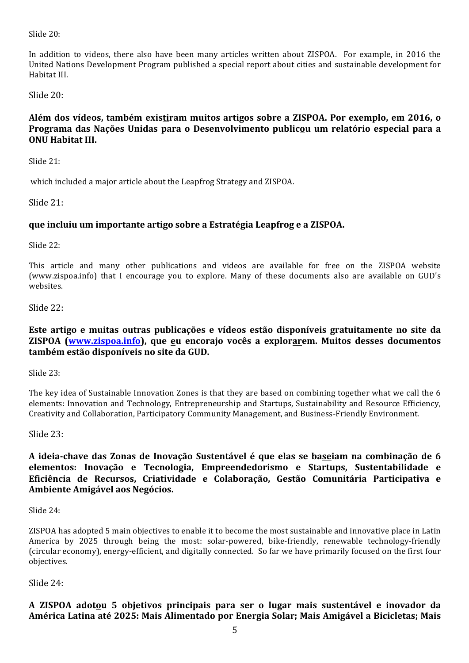Slide  $20$ :

In addition to videos, there also have been many articles written about ZISPOA. For example, in 2016 the United Nations Development Program published a special report about cities and sustainable development for Habitat III.

Slide 20:

# Além dos vídeos, também existiram muitos artigos sobre a ZISPOA. Por exemplo, em 2016, o Programa das Nações Unidas para o Desenvolvimento publicou um relatório especial para a **ONU Habitat III.**

Slide  $21$ :

which included a major article about the Leapfrog Strategy and ZISPOA.

Slide 21:

# **que incluiu um importante artigo sobre a Estratégia Leapfrog e a ZISPOA.**

Slide 22:

This article and many other publications and videos are available for free on the ZISPOA website (www.zispoa.info) that I encourage you to explore. Many of these documents also are available on GUD's websites.

Slide 22:

# Este artigo e muitas outras publicações e vídeos estão disponíveis gratuitamente no site da **ZISPOA** (www.zispoa.info), que eu encorajo vocês a explorarem. Muitos desses documentos **também estão disponíveis no site da GUD.**

Slide 23:

The key idea of Sustainable Innovation Zones is that they are based on combining together what we call the 6 elements: Innovation and Technology, Entrepreneurship and Startups, Sustainability and Resource Efficiency, Creativity and Collaboration, Participatory Community Management, and Business-Friendly Environment.

Slide 23:

A ideia-chave das Zonas de Inovação Sustentável é que elas se baseiam na combinação de 6 **elementos: Inovação e Tecnologia, Empreendedorismo e Startups, Sustentabilidade e Eficiência de Recursos, Criatividade e Colaboração, Gestão Comunitária Participativa e Ambiente Amigável aos Negócios.**

Slide 24:

ZISPOA has adopted 5 main objectives to enable it to become the most sustainable and innovative place in Latin America by 2025 through being the most: solar-powered, bike-friendly, renewable technology-friendly (circular economy), energy-efficient, and digitally connected. So far we have primarily focused on the first four objectives.

Slide 24:

**A ZISPOA adotou 5 objetivos principais para ser o lugar mais sustentável e inovador da**  América Latina até 2025: Mais Alimentado por Energia Solar; Mais Amigável a Bicicletas; Mais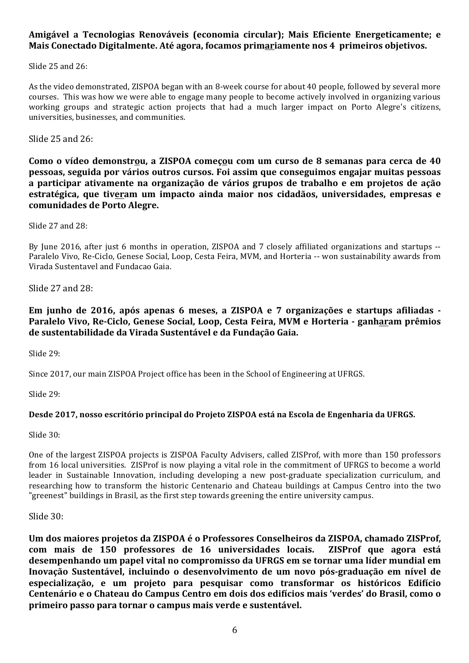# **Amigável a Tecnologias Renováveis (economia circular); Mais Eficiente Energeticamente; e Mais Conectado Digitalmente. Até agora, focamos primariamente nos 4 primeiros objetivos.**

Slide  $25$  and  $26$ :

As the video demonstrated, ZISPOA began with an 8-week course for about 40 people, followed by several more courses. This was how we were able to engage many people to become actively involved in organizing various working groups and strategic action projects that had a much larger impact on Porto Alegre's citizens, universities, businesses, and communities.

Slide  $25$  and  $26$ :

**Como** o vídeo demonstrou, a ZISPOA começou com um curso de 8 semanas para cerca de 40 **pessoas, seguida por vários outros cursos. Foi assim que conseguimos engajar muitas pessoas a participar ativamente na organização de vários grupos de trabalho e em projetos de ação estratégica, que tiveram um impacto ainda maior nos cidadãos, universidades, empresas e comunidades de Porto Alegre.**

Slide 27 and 28:

By June 2016, after just 6 months in operation, ZISPOA and 7 closely affiliated organizations and startups --Paralelo Vivo, Re-Ciclo, Genese Social, Loop, Cesta Feira, MVM, and Horteria -- won sustainability awards from Virada Sustentavel and Fundacao Gaia.

Slide 27 and 28:

**Em junho de 2016, após apenas 6 meses, a ZISPOA e 7 organizações e startups afiliadas -** Paralelo Vivo, Re-Ciclo, Genese Social, Loop, Cesta Feira, MVM e Horteria - ganharam prêmios de sustentabilidade da Virada Sustentável e da Fundação Gaia.

Slide 29:

Since 2017, our main ZISPOA Project office has been in the School of Engineering at UFRGS.

Slide  $29$ :

# Desde 2017, nosso escritório principal do Projeto ZISPOA está na Escola de Engenharia da UFRGS.

Slide 30:

One of the largest ZISPOA projects is ZISPOA Faculty Advisers, called ZISProf, with more than 150 professors from 16 local universities. ZISProf is now playing a vital role in the commitment of UFRGS to become a world leader in Sustainable Innovation, including developing a new post-graduate specialization curriculum, and researching how to transform the historic Centenario and Chateau buildings at Campus Centro into the two "greenest" buildings in Brasil, as the first step towards greening the entire university campus.

Slide 30:

Um dos maiores projetos da ZISPOA é o Professores Conselheiros da ZISPOA, chamado ZISProf, **com mais de 150 professores de 16 universidades locais. ZISProf que agora está**  desempenhando um papel vital no compromisso da UFRGS em se tornar uma líder mundial em Inovação Sustentável, incluindo o desenvolvimento de um novo pós-graduação em nível de especialização, e um projeto para pesquisar como transformar os históricos Edifício **Centenário e o Chateau do Campus Centro em dois dos edifícios mais 'verdes' do Brasil, como o primeiro passo para tornar o campus mais verde e sustentável.**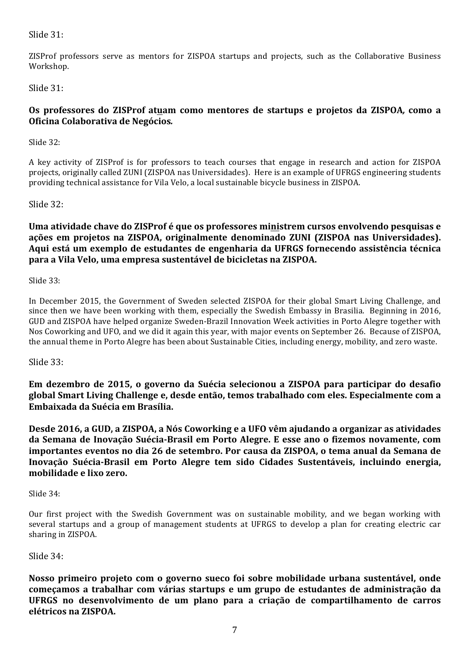Slide 31:

ZISProf professors serve as mentors for ZISPOA startups and projects, such as the Collaborative Business Workshop.

Slide 31:

# **Os professores do ZISProf atuam como mentores de startups e projetos da ZISPOA***,*  **como a Oficina Colaborativa de Negócios***.*

Slide 32:

A key activity of ZISProf is for professors to teach courses that engage in research and action for ZISPOA projects, originally called ZUNI (ZISPOA nas Universidades). Here is an example of UFRGS engineering students providing technical assistance for Vila Velo, a local sustainable bicycle business in ZISPOA.

Slide 32:

Uma atividade chave do ZISProf é que os professores ministrem cursos envolvendo pesquisas e ações em projetos na ZISPOA, originalmente denominado ZUNI (ZISPOA nas Universidades). Aqui está um exemplo de estudantes de engenharia da UFRGS fornecendo assistência técnica para a Vila Velo, uma empresa sustentável de bicicletas na ZISPOA.

Slide 33:

In December 2015, the Government of Sweden selected ZISPOA for their global Smart Living Challenge, and since then we have been working with them, especially the Swedish Embassy in Brasilia. Beginning in 2016, GUD and ZISPOA have helped organize Sweden-Brazil Innovation Week activities in Porto Alegre together with Nos Coworking and UFO, and we did it again this year, with major events on September 26. Because of ZISPOA, the annual theme in Porto Alegre has been about Sustainable Cities, including energy, mobility, and zero waste.

Slide 33:

**Em dezembro de 2015, o governo da Suécia selecionou a ZISPOA para participar do desafio global Smart Living Challenge e, desde então, temos trabalhado com eles. Especialmente com a** Embaixada da Suécia em Brasília.

**Desde 2016, a GUD, a ZISPOA, a Nós Coworking e a UFO vêm ajudando a organizar as atividades da Semana de Inovação Suécia-Brasil em Porto Alegre. E esse ano o fizemos novamente, com** importantes eventos no dia 26 de setembro. Por causa da ZISPOA, o tema anual da Semana de **Inovação Suécia-Brasil em Porto Alegre tem sido Cidades Sustentáveis, incluindo energia, mobilidade e lixo zero.**

Slide 34:

Our first project with the Swedish Government was on sustainable mobility, and we began working with several startups and a group of management students at UFRGS to develop a plan for creating electric car sharing in ZISPOA.

Slide 34:

**Nosso primeiro projeto com o governo sueco foi sobre mobilidade urbana sustentável, onde** começamos a trabalhar com várias startups e um grupo de estudantes de administração da **UFRGS no desenvolvimento de um plano para a criação de compartilhamento de carros elétricos na ZISPOA.**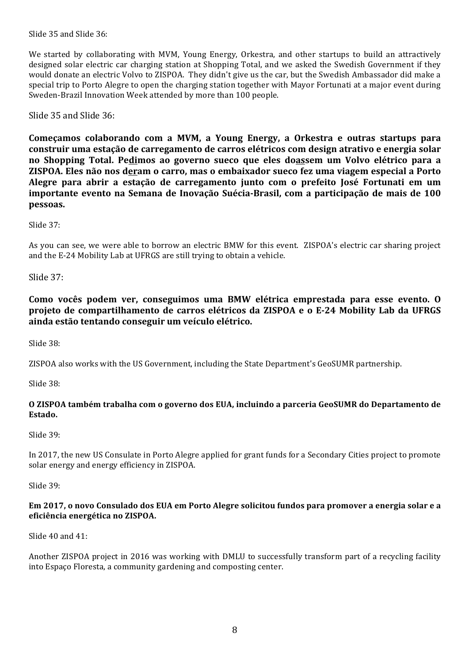Slide  $35$  and Slide  $36$ :

We started by collaborating with MVM, Young Energy, Orkestra, and other startups to build an attractively designed solar electric car charging station at Shopping Total, and we asked the Swedish Government if they would donate an electric Volvo to ZISPOA. They didn't give us the car, but the Swedish Ambassador did make a special trip to Porto Alegre to open the charging station together with Mayor Fortunati at a major event during Sweden-Brazil Innovation Week attended by more than 100 people.

Slide  $35$  and Slide  $36$ :

Começamos colaborando com a MVM, a Young Energy, a Orkestra e outras startups para construir uma estação de carregamento de carros elétricos com design atrativo e energia solar **no Shopping Total. Pedimos ao governo sueco que eles doassem um Volvo elétrico para a ZISPOA.** Eles não nos deram o carro, mas o embaixador sueco fez uma viagem especial a Porto Alegre para abrir a estação de carregamento junto com o prefeito José Fortunati em um importante evento na Semana de Inovação Suécia-Brasil, com a participação de mais de 100 **pessoas.**

Slide 37:

As you can see, we were able to borrow an electric BMW for this event. ZISPOA's electric car sharing project and the E-24 Mobility Lab at UFRGS are still trying to obtain a vehicle.

Slide 37:

**Como vocês podem ver, conseguimos uma BMW elétrica emprestada para esse evento. O projeto de compartilhamento de carros elétricos da ZISPOA e o E-24 Mobility Lab da UFRGS ainda estão tentando conseguir um veículo elétrico.**

Slide 38:

ZISPOA also works with the US Government, including the State Department's GeoSUMR partnership.

Slide 38:

#### **O ZISPOA também trabalha com o governo dos EUA, incluindo a parceria GeoSUMR do Departamento de Estado.**

Slide 39:

In 2017, the new US Consulate in Porto Alegre applied for grant funds for a Secondary Cities project to promote solar energy and energy efficiency in ZISPOA.

Slide 39:

#### **Em 2017, o novo Consulado dos EUA em Porto Alegre solicitou fundos para promover a energia solar e a eficiência energética no ZISPOA.**

Slide  $40$  and  $41$ :

Another ZISPOA project in 2016 was working with DMLU to successfully transform part of a recycling facility into Espaço Floresta, a community gardening and composting center.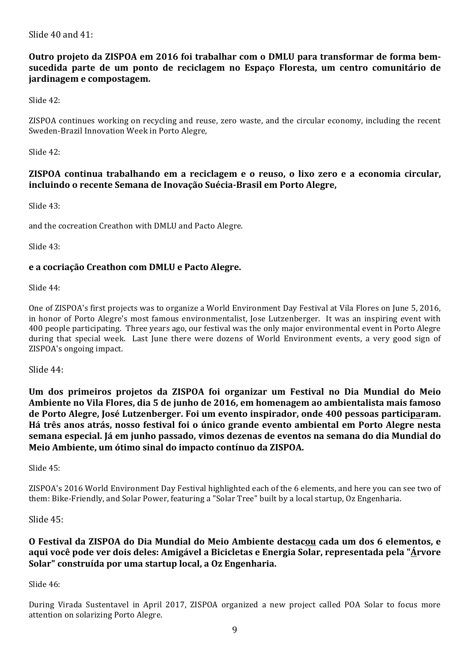Slide  $40$  and  $41$ :

# **Outro projeto da ZISPOA em 2016 foi trabalhar com o DMLU para transformar de forma bemsucedida parte de um ponto de reciclagem no Espaço Floresta, um centro comunitário de jardinagem e compostagem.**

Slide 42:

ZISPOA continues working on recycling and reuse, zero waste, and the circular economy, including the recent Sweden-Brazil Innovation Week in Porto Alegre,

Slide 42:

# **ZISPOA** continua trabalhando em a reciclagem e o reuso, o lixo zero e a economia circular, **incluindo o recente Semana de Inovação Suécia-Brasil em Porto Alegre,**

 $S$ lide  $43$ ·

and the cocreation Creathon with DMLU and Pacto Alegre.

Slide 43:

#### e a cocriação Creathon com DMLU e Pacto Alegre.

Slide 44:

One of ZISPOA's first projects was to organize a World Environment Day Festival at Vila Flores on June 5, 2016, in honor of Porto Alegre's most famous environmentalist, Jose Lutzenberger. It was an inspiring event with 400 people participating. Three years ago, our festival was the only major environmental event in Porto Alegre during that special week. Last June there were dozens of World Environment events, a very good sign of ZISPOA's ongoing impact.

Slide 44:

Um dos primeiros projetos da ZISPOA foi organizar um Festival no Dia Mundial do Meio Ambiente no Vila Flores, dia 5 de junho de 2016, em homenagem ao ambientalista mais famoso **de Porto Alegre, José Lutzenberger. Foi um evento inspirador, onde 400 pessoas participaram. Há três anos atrás, nosso festival foi o único grande evento ambiental em Porto Alegre nesta semana especial. Já em junho passado, vimos dezenas de eventos na semana do dia Mundial do** Meio Ambiente, um ótimo sinal do impacto contínuo da ZISPOA.

Slide 45: 

ZISPOA's 2016 World Environment Day Festival highlighted each of the 6 elements, and here you can see two of them: Bike-Friendly, and Solar Power, featuring a "Solar Tree" built by a local startup, Oz Engenharia.

Slide 45:

# **O Festival da ZISPOA do Dia Mundial do Meio Ambiente destacou cada um dos 6 elementos, e**  aqui você pode ver dois deles: Amigável a Bicicletas e Energia Solar, representada pela "Árvore Solar" construída por uma startup local, a Oz Engenharia.

Slide 46:

During Virada Sustentavel in April 2017, ZISPOA organized a new project called POA Solar to focus more attention on solarizing Porto Alegre.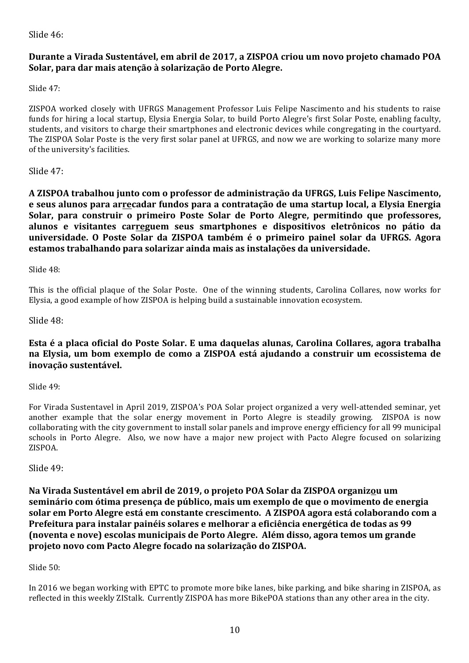Slide 46:

# **Durante a Virada Sustentável, em abril de 2017, a ZISPOA criou um novo projeto chamado POA Solar, para dar mais atenção à solarização de Porto Alegre.**

Slide 47:

ZISPOA worked closely with UFRGS Management Professor Luis Felipe Nascimento and his students to raise funds for hiring a local startup, Elysia Energia Solar, to build Porto Alegre's first Solar Poste, enabling faculty, students, and visitors to charge their smartphones and electronic devices while congregating in the courtyard. The ZISPOA Solar Poste is the very first solar panel at UFRGS, and now we are working to solarize many more of the university's facilities.

# Slide  $47$ :

**A ZISPOA trabalhou junto com o professor de administração da UFRGS, Luis Felipe Nascimento, e seus alunos para arrecadar fundos para a contratação de uma startup local, a Elysia Energia** Solar, para construir o primeiro Poste Solar de Porto Alegre, permitindo que professores, **alunos e visitantes carreguem seus smartphones e dispositivos eletrônicos no pátio da universidade. O Poste Solar da ZISPOA também é o primeiro painel solar da UFRGS. Agora** estamos trabalhando para solarizar ainda mais as instalações da universidade.

Slide 48:

This is the official plaque of the Solar Poste. One of the winning students, Carolina Collares, now works for Elysia, a good example of how ZISPOA is helping build a sustainable innovation ecosystem.

Slide 48:

# **Esta é a placa oficial do Poste Solar. E uma daquelas alunas, Carolina Collares, agora trabalha** na Elysia, um bom exemplo de como a ZISPOA está ajudando a construir um ecossistema de **inovação sustentável.**

Slide 49:

For Virada Sustentavel in April 2019, ZISPOA's POA Solar project organized a very well-attended seminar, yet another example that the solar energy movement in Porto Alegre is steadily growing. ZISPOA is now collaborating with the city government to install solar panels and improve energy efficiency for all 99 municipal schools in Porto Alegre. Also, we now have a major new project with Pacto Alegre focused on solarizing ZISPOA.

Slide 49:

**Na Virada Sustentável em abril de 2019, o projeto POA Solar da ZISPOA organizou um**  seminário com ótima presença de público, mais um exemplo de que o movimento de energia **solar em Porto Alegre está em constante crescimento. A ZISPOA agora está colaborando com a Prefeitura para instalar painéis solares e melhorar a eficiência energética de todas as 99 (noventa e nove) escolas municipais de Porto Alegre. Além disso, agora temos um grande**  projeto novo com Pacto Alegre focado na solarização do ZISPOA.

# Slide 50:

In 2016 we began working with EPTC to promote more bike lanes, bike parking, and bike sharing in ZISPOA, as reflected in this weekly ZIStalk. Currently ZISPOA has more BikePOA stations than any other area in the city.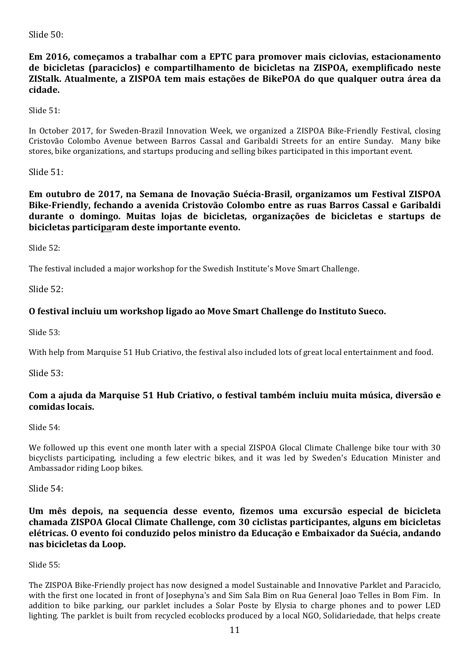Slide 50:

Em 2016, começamos a trabalhar com a EPTC para promover mais ciclovias, estacionamento **de bicicletas (paraciclos) e compartilhamento de bicicletas na ZISPOA, exemplificado neste ZIStalk. Atualmente, a ZISPOA tem mais estações de BikePOA do que qualquer outra área da cidade.**

Slide 51:

In October 2017, for Sweden-Brazil Innovation Week, we organized a ZISPOA Bike-Friendly Festival, closing Cristovão Colombo Avenue between Barros Cassal and Garibaldi Streets for an entire Sunday. Many bike stores, bike organizations, and startups producing and selling bikes participated in this important event.

Slide 51:

**Em outubro de 2017, na Semana de Inovação Suécia-Brasil, organizamos um Festival ZISPOA** Bike-Friendly, fechando a avenida Cristovão Colombo entre as ruas Barros Cassal e Garibaldi **durante o domingo. Muitas lojas de bicicletas, organizações de bicicletas e startups de** bicicletas participaram deste importante evento.

Slide  $52$ :

The festival included a major workshop for the Swedish Institute's Move Smart Challenge.

Slide 52:

# **O** festival incluiu um workshop ligado ao Move Smart Challenge do Instituto Sueco.

Slide 53:

With help from Marquise 51 Hub Criativo, the festival also included lots of great local entertainment and food.

Slide 53:

# **Com a ajuda da Marquise 51 Hub Criativo, o festival também incluiu muita música, diversão e comidas locais.**

Slide 54:

We followed up this event one month later with a special ZISPOA Glocal Climate Challenge bike tour with 30 bicyclists participating, including a few electric bikes, and it was led by Sweden's Education Minister and Ambassador riding Loop bikes.

Slide 54:

Um mês depois, na sequencia desse evento, fizemos uma excursão especial de bicicleta **chamada ZISPOA Glocal Climate Challenge, com 30 ciclistas participantes, alguns em bicicletas elétricas. O evento foi conduzido pelos ministro da Educação e Embaixador da Suécia, andando nas bicicletas da Loop.**

Slide 55:

The ZISPOA Bike-Friendly project has now designed a model Sustainable and Innovative Parklet and Paraciclo, with the first one located in front of Josephyna's and Sim Sala Bim on Rua General Joao Telles in Bom Fim. In addition to bike parking, our parklet includes a Solar Poste by Elysia to charge phones and to power LED lighting. The parklet is built from recycled ecoblocks produced by a local NGO, Solidariedade, that helps create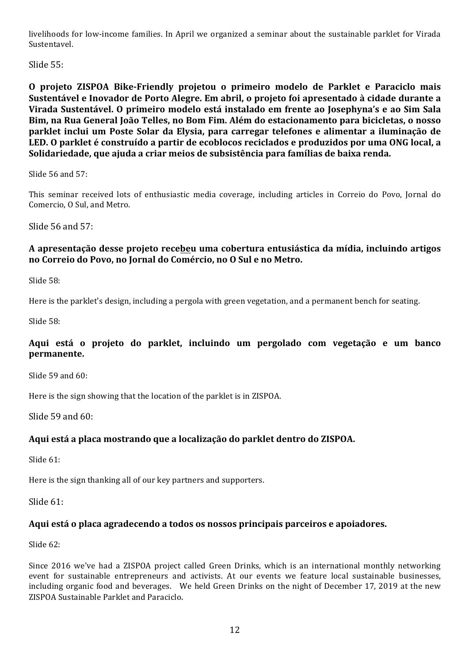livelihoods for low-income families. In April we organized a seminar about the sustainable parklet for Virada Sustentavel.

Slide 55:

**O projeto ZISPOA Bike-Friendly projetou o primeiro modelo de Parklet e Paraciclo mais Sustentável e Inovador de Porto Alegre. Em abril, o projeto foi apresentado à cidade durante a Virada Sustentável. O primeiro modelo está instalado em frente ao Josephyna's e ao Sim Sala**  Bim, na Rua General João Telles, no Bom Fim. Além do estacionamento para bicicletas, o nosso parklet inclui um Poste Solar da Elysia, para carregar telefones e alimentar a iluminação de **LED. O parklet é construído a partir de ecoblocos reciclados e produzidos por uma ONG local, a**  Solidariedade, que ajuda a criar meios de subsistência para famílias de baixa renda.

Slide  $56$  and  $57$ :

This seminar received lots of enthusiastic media coverage, including articles in Correio do Povo, Jornal do Comercio, O Sul, and Metro.

Slide 56 and 57:

# **A apresentação desse projeto recebeu uma cobertura entusiástica da mídia, incluindo artigos**  no Correio do Povo, no Jornal do Comércio, no O Sul e no Metro.

Slide 58:

Here is the parklet's design, including a pergola with green vegetation, and a permanent bench for seating.

Slide 58:

# **Aqui está o projeto do parklet, incluindo um pergolado com vegetação e um banco permanente.**

Slide 59 and 60:

Here is the sign showing that the location of the parklet is in ZISPOA.

Slide  $59$  and  $60$ :

# Aqui está a placa mostrando que a localização do parklet dentro do ZISPOA.

Slide 61:

Here is the sign thanking all of our key partners and supporters.

Slide 61:

# Aqui está o placa agradecendo a todos os nossos principais parceiros e apoiadores.

Slide  $62$ :

Since 2016 we've had a ZISPOA project called Green Drinks, which is an international monthly networking event for sustainable entrepreneurs and activists. At our events we feature local sustainable businesses, including organic food and beverages. We held Green Drinks on the night of December 17, 2019 at the new ZISPOA Sustainable Parklet and Paraciclo.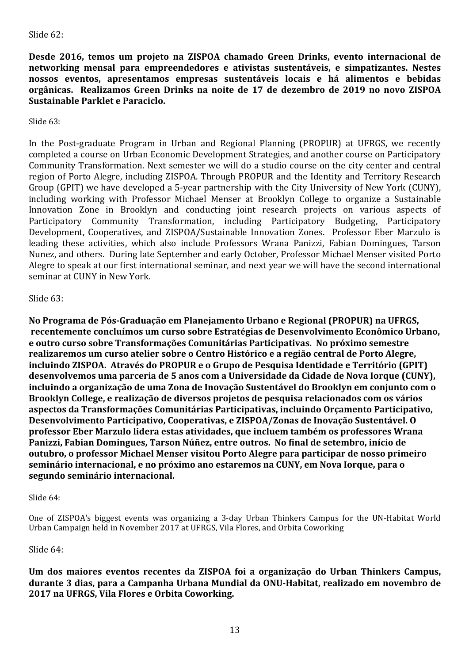# Slide 62:

Desde 2016, temos um projeto na ZISPOA chamado Green Drinks, evento internacional de **networking mensal para empreendedores e ativistas sustentáveis, e simpatizantes. Nestes**  nossos eventos, apresentamos empresas sustentáveis locais e há alimentos e bebidas **orgânicas. Realizamos Green Drinks na noite de 17 de dezembro de 2019 no novo ZISPOA Sustainable Parklet e Paraciclo.**

Slide  $63$ :

In the Post-graduate Program in Urban and Regional Planning (PROPUR) at UFRGS, we recently completed a course on Urban Economic Development Strategies, and another course on Participatory Community Transformation. Next semester we will do a studio course on the city center and central region of Porto Alegre, including ZISPOA. Through PROPUR and the Identity and Territory Research Group (GPIT) we have developed a 5-year partnership with the City University of New York (CUNY), including working with Professor Michael Menser at Brooklyn College to organize a Sustainable Innovation Zone in Brooklyn and conducting joint research projects on various aspects of Participatory Community Transformation, including Participatory Budgeting, Participatory Development, Cooperatives, and ZISPOA/Sustainable Innovation Zones. Professor Eber Marzulo is leading these activities, which also include Professors Wrana Panizzi, Fabian Domingues, Tarson Nunez, and others. During late September and early October, Professor Michael Menser visited Porto Alegre to speak at our first international seminar, and next year we will have the second international seminar at CUNY in New York.

#### Slide  $63$ :

**No Programa de Pós-Graduação em Planejamento Urbano e Regional (PROPUR) na UFRGS,** recentemente concluímos um curso sobre Estratégias de Desenvolvimento Econômico Urbano, **e** outro curso sobre Transformações Comunitárias Participativas. No próximo semestre realizaremos um curso atelier sobre o Centro Histórico e a região central de Porto Alegre, incluindo ZISPOA. Através do PROPUR e o Grupo de Pesquisa Identidade e Território (GPIT) **desenvolvemos uma parceria de 5 anos com a Universidade da Cidade de Nova Iorque (CUNY),** incluindo a organização de uma Zona de Inovação Sustentável do Brooklyn em conjunto com o Brooklyn College, e realização de diversos projetos de pesquisa relacionados com os vários **aspectos da Transformações Comunitárias Participativas, incluindo Orçamento Participativo,**  Desenvolvimento Participativo, Cooperativas, e ZISPOA/Zonas de Inovação Sustentável. O **professor Eber Marzulo lidera estas atividades, que incluem também os professores Wrana** Panizzi, Fabian Domingues, Tarson Núñez, entre outros. No final de setembro, início de **outubro, o professor Michael Menser visitou Porto Alegre para participar de nosso primeiro** seminário internacional, e no próximo ano estaremos na CUNY, em Nova Iorque, para o segundo seminário internacional.

Slide 64:

One of ZISPOA's biggest events was organizing a 3-day Urban Thinkers Campus for the UN-Habitat World Urban Campaign held in November 2017 at UFRGS, Vila Flores, and Orbita Coworking

#### Slide 64:

Um dos maiores eventos recentes da ZISPOA foi a organização do Urban Thinkers Campus, **durante 3 dias, para a Campanha Urbana Mundial da ONU-Habitat, realizado em novembro de 2017 na UFRGS, Vila Flores e Orbita Coworking.**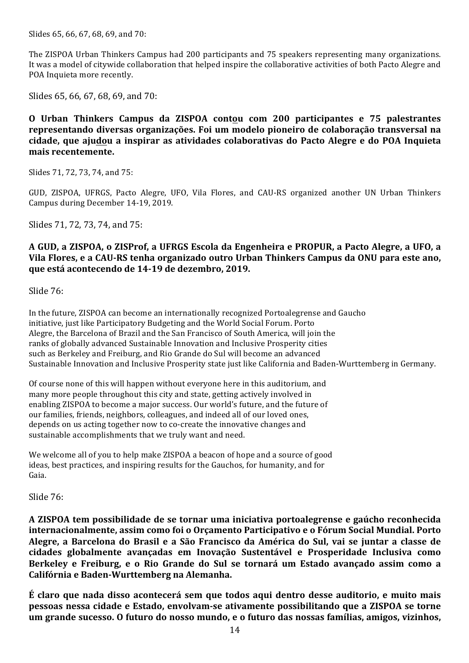Slides 65, 66, 67, 68, 69, and 70:

The ZISPOA Urban Thinkers Campus had 200 participants and 75 speakers representing many organizations. It was a model of citywide collaboration that helped inspire the collaborative activities of both Pacto Alegre and POA Inquieta more recently.

Slides 65, 66, 67, 68, 69, and 70:

**O Urban Thinkers Campus da ZISPOA contou com 200 participantes e 75 palestrantes representando diversas organizações. Foi um modelo pioneiro de colaboração transversal na cidade, que ajudou a inspirar as atividades colaborativas do Pacto Alegre e do POA Inquieta mais recentemente.**

Slides 71, 72, 73, 74, and 75:

GUD, ZISPOA, UFRGS, Pacto Alegre, UFO, Vila Flores, and CAU-RS organized another UN Urban Thinkers Campus during December 14-19, 2019.

Slides 71, 72, 73, 74, and 75:

# **A GUD, a ZISPOA, o ZISProf, a UFRGS Escola da Engenheira e PROPUR, a Pacto Alegre, a UFO, a Vila Flores, e a CAU-RS tenha organizado outro Urban Thinkers Campus da ONU para este ano, que está acontecendo de 14-19 de dezembro, 2019.**

Slide 76:

In the future, ZISPOA can become an internationally recognized Portoalegrense and Gaucho initiative, just like Participatory Budgeting and the World Social Forum. Porto Alegre, the Barcelona of Brazil and the San Francisco of South America, will join the ranks of globally advanced Sustainable Innovation and Inclusive Prosperity cities such as Berkeley and Freiburg, and Rio Grande do Sul will become an advanced Sustainable Innovation and Inclusive Prosperity state just like California and Baden-Wurttemberg in Germany.

Of course none of this will happen without everyone here in this auditorium, and many more people throughout this city and state, getting actively involved in enabling ZISPOA to become a major success. Our world's future, and the future of our families, friends, neighbors, colleagues, and indeed all of our loved ones, depends on us acting together now to co-create the innovative changes and sustainable accomplishments that we truly want and need.

We welcome all of you to help make ZISPOA a beacon of hope and a source of good ideas, best practices, and inspiring results for the Gauchos, for humanity, and for Gaia. 

Slide 76:

**A ZISPOA tem possibilidade de se tornar uma iniciativa portoalegrense e gaúcho reconhecida internacionalmente, assim como foi o Orçamento Participativo e o Fórum Social Mundial. Porto**  Alegre, a Barcelona do Brasil e a São Francisco da América do Sul, vai se juntar a classe de **cidades globalmente avançadas em Inovação Sustentável e Prosperidade Inclusiva como**  Berkeley e Freiburg, e o Rio Grande do Sul se tornará um Estado avançado assim como a **Califórnia e Baden-Wurttemberg na Alemanha.**

**É** claro que nada disso acontecerá sem que todos aqui dentro desse auditorio, e muito mais **pessoas nessa cidade e Estado, envolvam-se ativamente possibilitando que a ZISPOA se torne** um grande sucesso. O futuro do nosso mundo, e o futuro das nossas famílias, amigos, vizinhos,